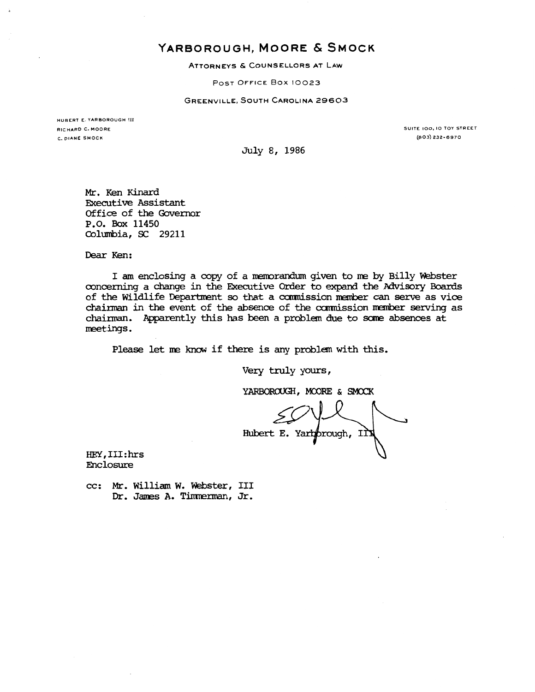## YARBOROUGH, MOORE & SMOCK

ATTORNEYS & COUNSELLORS AT LAW

POST OFFICE Box 10023

GREENVILLE, SOUTH CAROLINA 29603

HUBERT E. YARBOROUGH III RICHARD C. MOORE C. DIANE SMOCK

SUITE 100, 10 TOY STREET (803) 232-6970

July 8, 1986

Mr. Ken Kinard Executive Assistant Office of the Governor p. o. Box 11450 Columbia, SC 29211

Dear Ken:

I am enclosing a copy of a memorandum given to me by Billy Webster concerning a change in the Executive Order to expand the Advisory Boards of the Wildlife Department so that a commission member can serve as vice chainnan in the event of the absence of the carmission nanber serving as chainnan. Apparently this has been a problem due to scme absences at neetings.

Please let ne know if there is any problem with this.

Very truly yours,

YARBOROUGH, MOORE & SMOCK

Hubert E. Yartprough, II

HEY, III: hrs Enclosure

cc: Mr. William W. Webster, III Dr. James A. Timmerman, Jr.